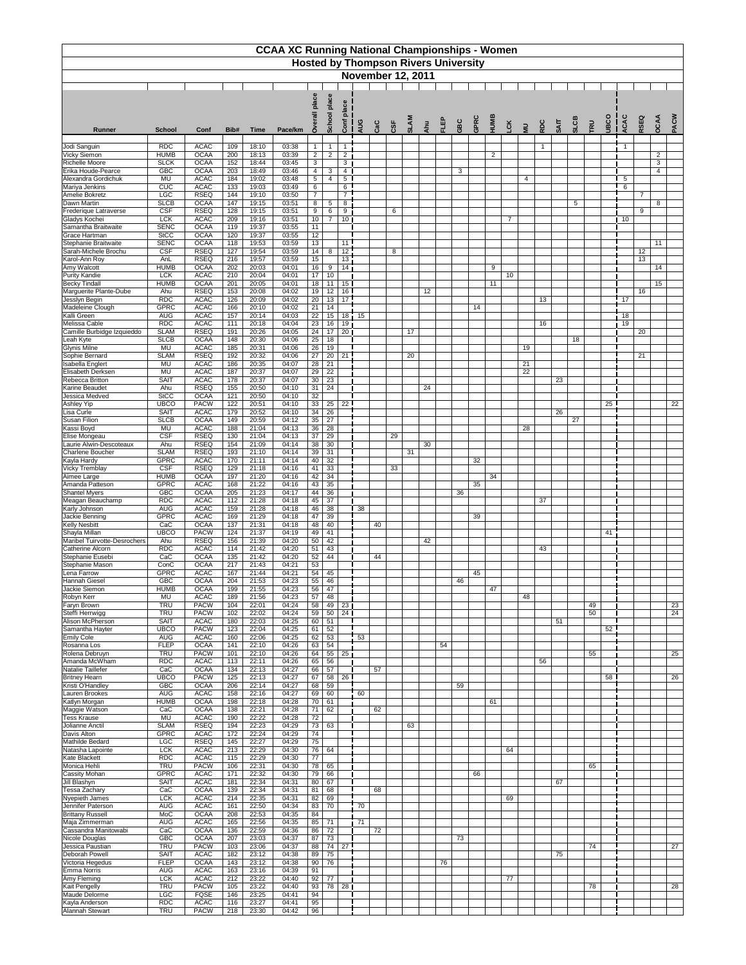|                                                |                            |                            |                         |                | <b>CCAA XC Running National Championships - Women</b> |                                    |                       |                       |     |     | <b>Hosted by Thompson Rivers University</b> |             |     |    |     |      |                   |                |                       |             |             |             |     |            |                      |                |                     |      |
|------------------------------------------------|----------------------------|----------------------------|-------------------------|----------------|-------------------------------------------------------|------------------------------------|-----------------------|-----------------------|-----|-----|---------------------------------------------|-------------|-----|----|-----|------|-------------------|----------------|-----------------------|-------------|-------------|-------------|-----|------------|----------------------|----------------|---------------------|------|
|                                                |                            |                            |                         |                |                                                       |                                    |                       |                       |     |     | <b>November 12, 2011</b>                    |             |     |    |     |      |                   |                |                       |             |             |             |     |            |                      |                |                     |      |
|                                                |                            |                            |                         |                |                                                       | place                              | place<br>School       | ace<br>ᅙ              |     |     |                                             | <b>SLAM</b> |     |    |     | GPRC |                   |                |                       |             |             |             |     |            |                      | RSEQ           | OCAA                | PACW |
| <b>Runner</b>                                  | <b>School</b>              | Conf                       | Bib#                    | <b>Time</b>    | Pace/km                                               | ò                                  |                       | Conf                  | AUG | CaC | CSF                                         |             | Ahu | 밑고 | GBC |      | HUME<br><b>CK</b> |                | $\overline{a}$        | RDC         | <b>SAIT</b> | <b>SLCB</b> | TRU | <b>UBC</b> | <b>ACA</b>           |                |                     |      |
| Jodi Sanguin                                   | <b>RDC</b>                 | <b>ACAC</b>                | 109                     | 18:10          | 03:38                                                 | -1                                 | $\mathbf{1}$          | $\mathbf{1}$          |     |     |                                             |             |     |    |     |      |                   |                |                       | $\mathbf 1$ |             |             |     |            |                      |                |                     |      |
| <b>Vicky Siemon</b><br><b>Richelle Moore</b>   | <b>HUMB</b><br><b>SLCK</b> | <b>OCAA</b><br><b>OCAA</b> | 200<br>152              | 18:13<br>18:44 | 03:39<br>03:45                                        | $\mathbf{2}$<br>3                  | 2                     | $\overline{2}$<br>3   |     |     |                                             |             |     |    |     |      | $\overline{2}$    |                |                       |             |             |             |     |            |                      |                | $\overline{2}$<br>3 |      |
| Erika Houde-Pearce                             | <b>GBC</b>                 | <b>OCAA</b>                | 203                     | 18:49          | 03:46                                                 | 4                                  | 3                     | $\overline{4}$        |     |     |                                             |             |     |    | 3   |      |                   |                |                       |             |             |             |     |            |                      |                | $\overline{4}$      |      |
| Alexandra Gordichuk<br>Mariya Jenkins          | MU<br>CUC                  | <b>ACAC</b><br><b>ACAC</b> | 184<br>133              | 19:02<br>19:03 | 03:48<br>03:49                                        | $5\phantom{.0}$<br>6               | $\overline{4}$        | $5\phantom{.0}$<br>6  |     |     |                                             |             |     |    |     |      |                   |                | 4                     |             |             |             |     |            | $5\phantom{.0}$<br>6 |                |                     |      |
| Amelie Bokretz                                 | <b>LGC</b>                 | <b>RSEQ</b>                | 144                     | 19:10          | 03:50                                                 | $\overline{7}$                     |                       | $\overline{7}$        |     |     |                                             |             |     |    |     |      |                   |                |                       |             |             |             |     |            |                      | $\overline{7}$ |                     |      |
| Dawn Martin<br>Frederique Latraverse           | <b>SLCB</b><br>CSF         | <b>OCAA</b><br><b>RSEQ</b> | 147<br>128              | 19:15<br>19:15 | 03:51<br>03:51                                        | 8<br>9                             | $\sqrt{5}$<br>6       | 8<br>9                |     |     | 6                                           |             |     |    |     |      |                   |                |                       |             |             | 5           |     |            |                      | 9              | 8                   |      |
| Gladys Kochei                                  | <b>LCK</b>                 | <b>ACAC</b>                | 209                     | 19:16          | 03:51                                                 | 10                                 | 7                     | 10 <sup>°</sup>       |     |     |                                             |             |     |    |     |      |                   | $\overline{7}$ |                       |             |             |             |     |            | 10                   |                |                     |      |
| Samantha Braitwaite<br>Grace Hartman           | <b>SENC</b><br><b>StCC</b> | <b>OCAA</b><br><b>OCAA</b> | 119<br>120              | 19:37<br>19:37 | 03:55<br>03:55                                        | 11<br>12 <sub>2</sub>              |                       |                       |     |     |                                             |             |     |    |     |      |                   |                |                       |             |             |             |     |            |                      |                |                     |      |
| Stephanie Braitwaite                           | <b>SENC</b>                | <b>OCAA</b>                | 118                     | 19:53          | 03:59                                                 | $\overline{13}$                    |                       | 11                    |     |     |                                             |             |     |    |     |      |                   |                |                       |             |             |             |     |            |                      |                | 11                  |      |
| Sarah-Michele Brochu                           | CSF                        | <b>RSEQ</b><br><b>RSEQ</b> | 127                     | 19:54          | 03:59                                                 | $\overline{14}$<br>$\overline{15}$ | 8                     | $\overline{12}$       |     |     | 8                                           |             |     |    |     |      |                   |                |                       |             |             |             |     |            |                      | 12             |                     |      |
| Karol-Ann Roy<br>Amy Walcott                   | AnL<br><b>HUMB</b>         | <b>OCAA</b>                | 216<br>202              | 19:57<br>20:03 | 03:59<br>04:01                                        | $\overline{16}$                    | 9                     | 13<br>14              |     |     |                                             |             |     |    |     |      | 9                 |                |                       |             |             |             |     |            |                      | 13             | 14                  |      |
| <b>Purity Kandie</b>                           | <b>LCK</b>                 | <b>ACAC</b>                | 210                     | 20:04          | 04:01                                                 | 17                                 | 10                    |                       |     |     |                                             |             |     |    |     |      | 10 <sup>°</sup>   |                |                       |             |             |             |     |            |                      |                |                     |      |
| <b>Becky Tindall</b><br>Marguerite Plante-Dube | <b>HUMB</b><br>Ahu         | <b>OCAA</b><br><b>RSEQ</b> | 201<br>153              | 20:05<br>20:08 | 04:01<br>04:02                                        | 18<br>19                           | 11<br>12              | 15 <sup>1</sup><br>16 |     |     |                                             |             | 12  |    |     |      | 11                |                |                       |             |             |             |     |            |                      | 16             | 15                  |      |
| Jesslyn Begin                                  | <b>RDC</b>                 | <b>ACAC</b>                | 126                     | 20:09          | 04:02                                                 | $\overline{20}$                    | 13                    | 17                    |     |     |                                             |             |     |    |     |      |                   |                |                       | 13          |             |             |     |            | 17                   |                |                     |      |
| Madeleine Clough<br>Kalli Green                | <b>GPRC</b><br><b>AUG</b>  | <b>ACAC</b><br><b>ACAC</b> | 166<br>157              | 20:10<br>20:14 | 04:02<br>04:03                                        | 21<br>22                           | 14<br>15              | 18                    | 15  |     |                                             |             |     |    |     | 14   |                   |                |                       |             |             |             |     |            | 18                   |                |                     |      |
| Melissa Cable                                  | <b>RDC</b>                 | <b>ACAC</b>                | 111                     | 20:18          | 04:04                                                 | $\overline{23}$                    | 16                    | 19                    |     |     |                                             |             |     |    |     |      |                   |                |                       | 16          |             |             |     |            | 19                   |                |                     |      |
| Camille Burbidge Izquieddo                     | <b>SLAM</b>                | <b>RSEQ</b>                | 191                     | 20:26          | 04:05                                                 | 24                                 | 17                    | 20 <sub>1</sub>       |     |     |                                             | 17          |     |    |     |      |                   |                |                       |             |             |             |     |            |                      | 20             |                     |      |
| Leah Kyte<br><b>Glynis Milne</b>               | <b>SLCB</b><br><b>MU</b>   | <b>OCAA</b><br><b>ACAC</b> | 148<br>185              | 20:30<br>20:31 | 04:06<br>04:06                                        | 25<br>$\overline{26}$              | 18<br>19              |                       |     |     |                                             |             |     |    |     |      |                   |                | 19                    |             |             | 18          |     |            |                      |                |                     |      |
| Sophie Bernard                                 | <b>SLAM</b>                | <b>RSEQ</b>                | 192                     | 20:32          | 04:06                                                 | $\overline{27}$                    | 20                    | 21                    |     |     |                                             | 20          |     |    |     |      |                   |                |                       |             |             |             |     |            |                      | 21             |                     |      |
| Isabella Englert<br>Elisabeth Derksen          | MU<br><b>MU</b>            | <b>ACAC</b><br><b>ACAC</b> | 186<br>187              | 20:35<br>20:37 | 04:07<br>04:07                                        | 28<br>$\overline{29}$              | 21<br>$\overline{22}$ |                       |     |     |                                             |             |     |    |     |      |                   |                | 21<br>$\overline{22}$ |             |             |             |     |            |                      |                |                     |      |
| Rebecca Britton                                | <b>SAIT</b>                | <b>ACAC</b>                | 178                     | 20:37          | 04:07                                                 | 30                                 | 23                    |                       |     |     |                                             |             |     |    |     |      |                   |                |                       |             | 23          |             |     |            |                      |                |                     |      |
| <b>Karine Beaudet</b><br>Jessica Medved        | Ahu<br><b>StCC</b>         | <b>RSEQ</b><br><b>OCAA</b> | 155<br>121              | 20:50<br>20:50 | 04:10<br>04:10                                        | 31<br>32                           | 24                    |                       |     |     |                                             |             | 24  |    |     |      |                   |                |                       |             |             |             |     |            |                      |                |                     |      |
| <b>Ashley Yip</b>                              | <b>UBCO</b>                | <b>PACW</b>                | 122                     | 20:51          | 04:10                                                 | 33                                 | 25                    | $\overline{22}$       |     |     |                                             |             |     |    |     |      |                   |                |                       |             |             |             |     | 25         |                      |                |                     | 22   |
| Lisa Curle                                     | <b>SAIT</b>                | <b>ACAC</b>                | 179                     | 20:52          | 04:10                                                 | 34                                 | 26                    |                       |     |     |                                             |             |     |    |     |      |                   |                |                       |             | 26          |             |     |            |                      |                |                     |      |
| Susan Filion<br>Kassi Boyd                     | <b>SLCB</b><br><b>MU</b>   | <b>OCAA</b><br><b>ACAC</b> | 149<br>188              | 20:59<br>21:04 | 04:12<br>04:13                                        | 35<br>$\overline{36}$              | 27<br>28              |                       |     |     |                                             |             |     |    |     |      |                   |                | 28                    |             |             | 27          |     |            |                      |                |                     |      |
| Elise Mongeau                                  | <b>CSF</b>                 | <b>RSEQ</b>                | 130                     | 21:04          | 04:13                                                 | $\overline{37}$                    | 29                    |                       |     |     | 29                                          |             |     |    |     |      |                   |                |                       |             |             |             |     |            |                      |                |                     |      |
| Laurie Alwin-Descoteaux<br>Charlene Boucher    | Ahu<br><b>SLAM</b>         | <b>RSEQ</b><br><b>RSEQ</b> | 154<br>193              | 21:09<br>21:10 | 04:14<br>04:14                                        | 38<br>39                           | 30<br>31              |                       |     |     |                                             | 31          | 30  |    |     |      |                   |                |                       |             |             |             |     |            |                      |                |                     |      |
| Kayla Hardy                                    | <b>GPRC</b>                | <b>ACAC</b>                | 170                     | 21:11          | 04:14                                                 | 40                                 | 32                    |                       |     |     |                                             |             |     |    |     | 32   |                   |                |                       |             |             |             |     |            |                      |                |                     |      |
| <b>Vicky Tremblay</b>                          | <b>CSF</b>                 | <b>RSEQ</b>                | 129                     | 21:18          | 04:16                                                 | 41                                 | 33                    |                       |     |     | 33                                          |             |     |    |     |      |                   |                |                       |             |             |             |     |            |                      |                |                     |      |
| Aimee Large<br>Amanda Patteson                 | <b>HUMB</b><br><b>GPRC</b> | <b>OCAA</b><br><b>ACAC</b> | 197<br>168              | 21:20<br>21:22 | 04:16<br>04:16                                        | 42<br>43                           | 34<br>35              |                       |     |     |                                             |             |     |    |     | 35   | 34                |                |                       |             |             |             |     |            |                      |                |                     |      |
| <b>Shantel Myers</b>                           | <b>GBC</b>                 | <b>OCAA</b>                | 205                     | 21:23          | 04:17                                                 | 44                                 | 36                    |                       |     |     |                                             |             |     |    | 36  |      |                   |                |                       |             |             |             |     |            |                      |                |                     |      |
| Meagan Beauchamp<br>Karly Johnson              | <b>RDC</b><br><b>AUG</b>   | <b>ACAC</b><br><b>ACAC</b> | 112<br>159              | 21:28<br>21:28 | 04:18<br>04:18                                        | 45<br>46                           | 37<br>38              |                       | 38  |     |                                             |             |     |    |     |      |                   |                |                       | 37          |             |             |     |            |                      |                |                     |      |
| Jackie Benning                                 | <b>GPRC</b>                | <b>ACAC</b>                | 169                     | 21:29          | 04:18                                                 | 47                                 | 39                    |                       |     |     |                                             |             |     |    |     | 39   |                   |                |                       |             |             |             |     |            |                      |                |                     |      |
| <b>Kelly Nesbitt</b><br>Shayla Millan          | CaC<br><b>UBCO</b>         | <b>OCAA</b><br><b>PACW</b> | $\overline{137}$<br>124 | 21:31<br>21:37 | 04:18<br>04:19                                        | 48<br>49                           | 40<br>41              |                       |     | 40  |                                             |             |     |    |     |      |                   |                |                       |             |             |             |     | 41         |                      |                |                     |      |
| Maribel Tuirvotte-Desrochers                   | Ahu                        | <b>RSEQ</b>                | 156                     | 21:39          | 04:20                                                 | 50                                 | 42                    |                       |     |     |                                             |             | 42  |    |     |      |                   |                |                       |             |             |             |     |            |                      |                |                     |      |
| Catherine Alcorn                               | <b>RDC</b>                 | <b>ACAC</b>                | 114                     | 21:42          | 04:20                                                 | 51                                 | 43                    |                       |     |     |                                             |             |     |    |     |      |                   |                |                       | 43          |             |             |     |            |                      |                |                     |      |
| Stephanie Eusebi<br>Stephanie Mason            | CaC<br>ConC                | <b>OCAA</b><br><b>OCAA</b> | 135<br>$\overline{217}$ | 21:42<br>21:43 | 04:20<br>04:21                                        | 52<br>53                           | 44                    |                       |     | 44  |                                             |             |     |    |     |      |                   |                |                       |             |             |             |     |            |                      |                |                     |      |
| Lena Farrow                                    | <b>GPRC</b>                | <b>ACAC</b>                | 167                     | 21:44          | 04:21                                                 | 54                                 | 45                    |                       |     |     |                                             |             |     |    |     | 45   |                   |                |                       |             |             |             |     |            |                      |                |                     |      |
| <b>Hannah Giesel</b><br>Jackie Siemon          | <b>GBC</b><br><b>HUMB</b>  | <b>OCAA</b><br><b>OCAA</b> | 204<br>199              | 21:53<br>21:55 | 04:23<br>04:23                                        | 55<br>56                           | 46<br>47              |                       |     |     |                                             |             |     |    | 46  |      | 47                |                |                       |             |             |             |     |            |                      |                |                     |      |
| Robyn Kerr                                     | MU                         | <b>ACAC</b>                | 189                     | 21:56          | 04:23                                                 | 57                                 | 48                    |                       |     |     |                                             |             |     |    |     |      |                   |                | 48                    |             |             |             |     |            |                      |                |                     |      |
| Faryn Brown                                    | <b>TRU</b>                 | <b>PACW</b>                | 104                     | 22:01          | 04:24                                                 | 58                                 | 49                    | 23                    |     |     |                                             |             |     |    |     |      |                   |                |                       |             |             |             | 49  |            |                      |                |                     | 23   |
| Steffi Herrwigg<br>Alison McPherson            | <b>TRU</b><br><b>SAIT</b>  | <b>PACW</b><br><b>ACAC</b> | 102<br>180              | 22:02<br>22:03 | 04:24<br>04:25                                        | 59<br>60                           | 50<br>51              | 24                    |     |     |                                             |             |     |    |     |      |                   |                |                       |             | 51          |             | 50  |            |                      |                |                     | 24   |
| Samantha Hayter                                | <b>UBCO</b>                | <b>PACW</b>                | 123                     | 22:04          | 04:25                                                 | 61                                 | 52                    |                       |     |     |                                             |             |     |    |     |      |                   |                |                       |             |             |             |     | 52         |                      |                |                     |      |
| <b>Emily Cole</b><br>Rosanna Los               | <b>AUG</b><br><b>FLEP</b>  | <b>ACAC</b><br><b>OCAA</b> | 160<br>141              | 22:06<br>22:10 | 04:25<br>04:26                                        | 62<br>63                           | 53<br>54              |                       | 53  |     |                                             |             |     | 54 |     |      |                   |                |                       |             |             |             |     |            |                      |                |                     |      |
| Rolena Debruyn                                 | <b>TRU</b>                 | <b>PACW</b>                | 101                     | 22:10          | 04:26                                                 | 64                                 | 55                    | 25                    |     |     |                                             |             |     |    |     |      |                   |                |                       |             |             |             | 55  |            |                      |                |                     | 25   |
| Amanda McWham<br>Natalie Taillefer             | <b>RDC</b><br>CaC          | <b>ACAC</b><br><b>OCAA</b> | 113<br>134              | 22:11<br>22:13 | 04:26<br>04:27                                        | 65<br>66                           | 56<br>57              |                       |     | 57  |                                             |             |     |    |     |      |                   |                |                       | 56          |             |             |     |            |                      |                |                     |      |
| <b>Britney Hearn</b>                           | <b>UBCO</b>                | <b>PACW</b>                | 125                     | 22:13          | 04:27                                                 | 67                                 | 58                    | $\overline{26}$       |     |     |                                             |             |     |    |     |      |                   |                |                       |             |             |             |     | 58         |                      |                |                     | 26   |
| Kristi O'Handley                               | <b>GBC</b>                 | <b>OCAA</b>                | 206                     | 22:14          | 04:27                                                 | 68                                 | 59                    |                       |     |     |                                             |             |     |    | 59  |      |                   |                |                       |             |             |             |     |            |                      |                |                     |      |
| Lauren Brookes<br>Katlyn Morgan                | <b>AUG</b><br><b>HUMB</b>  | <b>ACAC</b><br><b>OCAA</b> | 158<br>198              | 22:16<br>22:18 | 04:27<br>04:28                                        | 69<br>70                           | 60<br>61              |                       | 60  |     |                                             |             |     |    |     |      | 61                |                |                       |             |             |             |     |            |                      |                |                     |      |
| Maggie Watson                                  | CaC                        | <b>OCAA</b>                | 138                     | 22:21          | 04:28                                                 | 71                                 | 62                    |                       |     | 62  |                                             |             |     |    |     |      |                   |                |                       |             |             |             |     |            |                      |                |                     |      |
| <b>Tess Krause</b><br>Jolianne Anctil          | <b>MU</b><br><b>SLAM</b>   | <b>ACAC</b><br><b>RSEQ</b> | 190<br>194              | 22:22<br>22:23 | 04:28<br>04:29                                        | 72<br>$\overline{73}$              | 63                    |                       |     |     |                                             | 63          |     |    |     |      |                   |                |                       |             |             |             |     |            |                      |                |                     |      |
| Davis Alton                                    | <b>GPRC</b>                | <b>ACAC</b>                | 172                     | 22:24          | 04:29                                                 | 74                                 |                       |                       |     |     |                                             |             |     |    |     |      |                   |                |                       |             |             |             |     |            |                      |                |                     |      |
| Mathilde Bedard<br>Natasha Lapointe            | <b>LGC</b><br><b>TCK</b>   | <b>RSEQ</b><br><b>ACAC</b> | $\overline{145}$<br>213 | 22:27<br>22:29 | 04:29<br>04:30                                        | 75<br>76                           | 64                    |                       |     |     |                                             |             |     |    |     |      | 64                |                |                       |             |             |             |     |            |                      |                |                     |      |
| <b>Kate Blackett</b>                           | <b>RDC</b>                 | <b>ACAC</b>                | 115                     | 22:29          | 04:30                                                 | 77                                 |                       |                       |     |     |                                             |             |     |    |     |      |                   |                |                       |             |             |             |     |            |                      |                |                     |      |
| Monica Hehli                                   | <b>TRU</b>                 | <b>PACW</b>                | 106                     | 22:31          | 04:30                                                 | $\overline{78}$                    | 65                    |                       |     |     |                                             |             |     |    |     |      |                   |                |                       |             |             |             | 65  |            |                      |                |                     |      |
| Cassity Mohan<br>Jill Blashyn                  | <b>GPRC</b><br><b>SAIT</b> | <b>ACAC</b><br><b>ACAC</b> | $171$<br>181            | 22:32<br>22:34 | 04:30<br>04:31                                        | $\overline{79}$<br>80              | 66<br>67              |                       |     |     |                                             |             |     |    |     | 66   |                   |                |                       |             | 67          |             |     |            |                      |                |                     |      |
| Tessa Zachary                                  | CaC                        | <b>OCAA</b>                | 139                     | 22:34          | 04:31                                                 | 81                                 | 68                    |                       |     | 68  |                                             |             |     |    |     |      |                   |                |                       |             |             |             |     |            |                      |                |                     |      |
| Nyepieth James<br>Jennifer Paterson            | <b>LCK</b><br><b>AUG</b>   | <b>ACAC</b><br><b>ACAC</b> | 214<br>161              | 22:35<br>22:50 | 04:31<br>04:34                                        | $\overline{82}$<br>83              | 69<br>70              |                       | 70  |     |                                             |             |     |    |     |      | 69                |                |                       |             |             |             |     |            |                      |                |                     |      |
| <b>Brittany Russell</b>                        | MoC                        | <b>OCAA</b>                | 208                     | 22:53          | 04:35                                                 | 84                                 |                       |                       |     |     |                                             |             |     |    |     |      |                   |                |                       |             |             |             |     |            |                      |                |                     |      |
| Maja Zimmerman                                 | <b>AUG</b>                 | <b>ACAC</b>                | 165                     | 22:56          | 04:35                                                 | 85                                 | 71                    |                       | 71  |     |                                             |             |     |    |     |      |                   |                |                       |             |             |             |     |            |                      |                |                     |      |
| Cassandra Manitowabi<br>Nicole Douglas         | CaC<br><b>GBC</b>          | <b>OCAA</b><br><b>OCAA</b> | 136<br>207              | 22:59<br>23:03 | 04:36<br>04:37                                        | 86<br>87                           | 72<br>73              |                       |     | 72  |                                             |             |     |    | 73  |      |                   |                |                       |             |             |             |     |            |                      |                |                     |      |
| Jessica Paustian                               | <b>TRU</b>                 | <b>PACW</b>                | 103                     | 23:06          | 04:37                                                 | 88                                 | 74                    | 27                    |     |     |                                             |             |     |    |     |      |                   |                |                       |             |             |             | 74  |            |                      |                |                     | 27   |
| Deborah Powell<br>Victoria Hegedus             | <b>SAIT</b><br><b>FLEP</b> | <b>ACAC</b><br><b>OCAA</b> | 182<br>143              | 23:12<br>23:12 | 04:38<br>04:38                                        | 89<br>90                           | 75<br>$\overline{76}$ |                       |     |     |                                             |             |     | 76 |     |      |                   |                |                       |             | 75          |             |     |            |                      |                |                     |      |
| <b>Emma Norris</b>                             | <b>AUG</b>                 | <b>ACAC</b>                | 163                     | 23:16          | 04:39                                                 | 91                                 |                       |                       |     |     |                                             |             |     |    |     |      |                   |                |                       |             |             |             |     |            |                      |                |                     |      |
| Amy Fleming                                    | <b>LCK</b>                 | <b>ACAC</b>                | $\overline{212}$        | 23:22          | 04:40                                                 | 92                                 | 77                    |                       |     |     |                                             |             |     |    |     |      | 77                |                |                       |             |             |             |     |            |                      |                |                     |      |
| <b>Kait Pengelly</b><br>Maude Delorme          | <b>TRU</b><br><b>LGC</b>   | <b>PACW</b><br><b>FQSE</b> | 105<br>146              | 23:22<br>23:25 | 04:40<br>04:41                                        | 93<br>94                           | 78                    | 28                    |     |     |                                             |             |     |    |     |      |                   |                |                       |             |             |             | 78  |            |                      |                |                     | 28   |
| Kayla Anderson                                 | <b>RDC</b>                 | <b>ACAC</b>                | 116                     | 23:27          | 04:41                                                 | 95                                 |                       |                       |     |     |                                             |             |     |    |     |      |                   |                |                       |             |             |             |     |            |                      |                |                     |      |
| Alannah Stewart                                | <b>TRU</b>                 | <b>PACW</b>                | 218                     | 23:30          | 04:42                                                 | 96                                 |                       |                       |     |     |                                             |             |     |    |     |      |                   |                |                       |             |             |             |     |            |                      |                |                     |      |